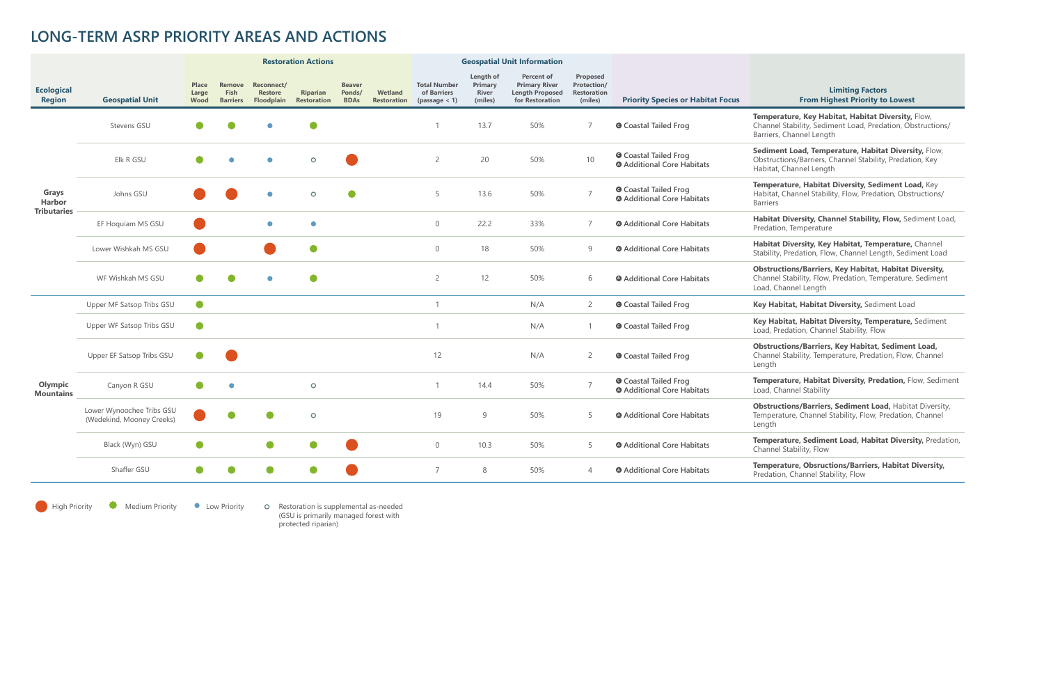**Temperature, Key Habitat, Habitat Diversity,** Flow, nnel Stability, Sediment Load, Predation, Obstructions/ iers, Channel Length

**Sediment Load, Temperature, Habitat Diversity,** Flow, tructions/Barriers, Channel Stability, Predation, Key itat, Channel Length

**perature, Habitat Diversity, Sediment Load, Key** itat, Channel Stability, Flow, Predation, Obstructions/ iers

itat Diversity, Channel Stability, Flow, Sediment Load, lation, Temperature

**itat Diversity, Key Habitat, Temperature, Channel** ility, Predation, Flow, Channel Length, Sediment Load

## **Limiting Factors From Highest Priority to Lowest**

**Obstructions/Barriers, Key Habitat, Habitat Diversity,** nnel Stability, Flow, Predation, Temperature, Sediment I, Channel Length

Habitat, Habitat Diversity, Sediment Load

**Habitat, Habitat Diversity, Temperature, Sediment** d, Predation, Channel Stability, Flow

**Obstructions/Barriers, Key Habitat, Sediment Load,** nnel Stability, Temperature, Predation, Flow, Channel ath

**perature, Habitat Diversity, Predation, Flow, Sediment** d, Channel Stability

|                                       |                                                        | <b>Restoration Actions</b>    |                                   |                                                   |                                       |                                        |                               |                                                     |                                                 | <b>Geospatial Unit Information</b>                                                     |                                                          |                                                                   |                             |
|---------------------------------------|--------------------------------------------------------|-------------------------------|-----------------------------------|---------------------------------------------------|---------------------------------------|----------------------------------------|-------------------------------|-----------------------------------------------------|-------------------------------------------------|----------------------------------------------------------------------------------------|----------------------------------------------------------|-------------------------------------------------------------------|-----------------------------|
| <b>Ecological</b><br><b>Region</b>    | <b>Geospatial Unit</b>                                 | Place<br>Large<br><b>Wood</b> | Remove<br>Fish<br><b>Barriers</b> | Reconnect/<br><b>Restore</b><br><b>Floodplain</b> | <b>Riparian</b><br><b>Restoration</b> | <b>Beaver</b><br>Ponds/<br><b>BDAs</b> | Wetland<br><b>Restoration</b> | <b>Total Number</b><br>of Barriers<br>(passage < 1) | Length of<br>Primary<br><b>River</b><br>(miles) | <b>Percent of</b><br><b>Primary River</b><br><b>Length Proposed</b><br>for Restoration | Proposed<br>Protection/<br><b>Restoration</b><br>(miles) | <b>Priority Species or Habitat Focus</b>                          |                             |
| Grays<br>Harbor<br><b>Tributaries</b> | Stevens GSU                                            |                               |                                   |                                                   |                                       |                                        |                               | $\overline{1}$                                      | 13.7                                            | 50%                                                                                    | $\overline{7}$                                           | <b>O</b> Coastal Tailed Frog                                      | Tem<br>Char<br>Barri        |
|                                       | Elk R GSU                                              |                               | $\bullet$                         | $\bullet$                                         | $\circ$                               |                                        |                               | $\overline{2}$                                      | 20                                              | 50%                                                                                    | 10                                                       | <b>O</b> Coastal Tailed Frog<br><b>O</b> Additional Core Habitats | Sedi<br>Obst<br>Habi        |
|                                       | Johns GSU                                              |                               |                                   | $\bullet$                                         | $\circ$                               | $\bullet$                              |                               | 5                                                   | 13.6                                            | 50%                                                                                    | $\overline{7}$                                           | <b>O</b> Coastal Tailed Frog<br><b>O</b> Additional Core Habitats | <b>Tem</b><br>Habi<br>Barri |
|                                       | EF Hoquiam MS GSU                                      |                               |                                   | $\bullet$                                         | $\bullet$                             |                                        |                               | $\overline{0}$                                      | 22.2                                            | 33%                                                                                    | 7                                                        | <b>O</b> Additional Core Habitats                                 | Habi<br>Pred                |
|                                       | Lower Wishkah MS GSU                                   |                               |                                   |                                                   | $\bullet$                             |                                        |                               | $\mathsf{O}\xspace$                                 | 18                                              | 50%                                                                                    | 9                                                        | <b>O</b> Additional Core Habitats                                 | Habi<br>Stab                |
|                                       | WF Wishkah MS GSU                                      |                               |                                   | $\bullet$                                         |                                       |                                        |                               | $\overline{c}$                                      | 12                                              | 50%                                                                                    | 6                                                        | <b>O</b> Additional Core Habitats                                 | Obst<br>Char<br>Load        |
| Olympic<br><b>Mountains</b>           | Upper MF Satsop Tribs GSU                              | $\bullet$                     |                                   |                                                   |                                       |                                        |                               | $\overline{1}$                                      |                                                 | N/A                                                                                    | $\overline{2}$                                           | <b>O</b> Coastal Tailed Frog                                      | Key                         |
|                                       | Upper WF Satsop Tribs GSU                              | $\bullet$                     |                                   |                                                   |                                       |                                        |                               | $\overline{1}$                                      |                                                 | N/A                                                                                    | $\overline{1}$                                           | <b>O</b> Coastal Tailed Frog                                      | <b>Key</b><br>Load          |
|                                       | Upper EF Satsop Tribs GSU                              | $\bullet$                     |                                   |                                                   |                                       |                                        |                               | 12                                                  |                                                 | N/A                                                                                    | $\overline{2}$                                           | <b>O</b> Coastal Tailed Frog                                      | Obst<br>Char<br>Leng        |
|                                       | Canyon R GSU                                           | $\bullet$                     | $\bullet$                         |                                                   | $\circ$                               |                                        |                               | $\mathbf{1}$                                        | 14.4                                            | 50%                                                                                    | $\overline{7}$                                           | <b>O</b> Coastal Tailed Frog<br><b>O</b> Additional Core Habitats | <b>Tem</b><br>Load          |
|                                       | Lower Wynoochee Tribs GSU<br>(Wedekind, Mooney Creeks) |                               | $\bullet$                         |                                                   | $\circ$                               |                                        |                               | 19                                                  | 9                                               | 50%                                                                                    | 5                                                        | <b>O</b> Additional Core Habitats                                 | Obst<br>Temp<br>Leng        |
|                                       | Black (Wyn) GSU                                        | $\bullet$                     |                                   | $\bullet$                                         | $\bullet$                             |                                        |                               | $\mathbf 0$                                         | 10.3                                            | 50%                                                                                    | 5                                                        | <b>O</b> Additional Core Habitats                                 | Tem<br>Char                 |
|                                       | Shaffer GSU                                            | $\bullet$                     | $\bullet$                         | $\bullet$                                         | $\bullet$                             |                                        |                               | $\overline{7}$                                      | 8                                               | 50%                                                                                    | $\overline{4}$                                           | <b>O</b> Additional Core Habitats                                 | <b>Tem</b><br>Pred          |
|                                       |                                                        |                               |                                   |                                                   |                                       |                                        |                               |                                                     |                                                 |                                                                                        |                                                          |                                                                   |                             |

**Obstructions/Barriers, Sediment Load,** Habitat Diversity, perature, Channel Stability, Flow, Predation, Channel gth

**perature, Sediment Load, Habitat Diversity, Predation,** nnel Stability, Flow

**perature, Obsructions/Barriers, Habitat Diversity,** lation, Channel Stability, Flow

High Priority Medium Priority Clow Priority ORestoration is supplemental as-needed (GSU is primarily managed forest with protected riparian)

## **LONG-TERM ASRP PRIORITY AREAS AND ACTIONS**